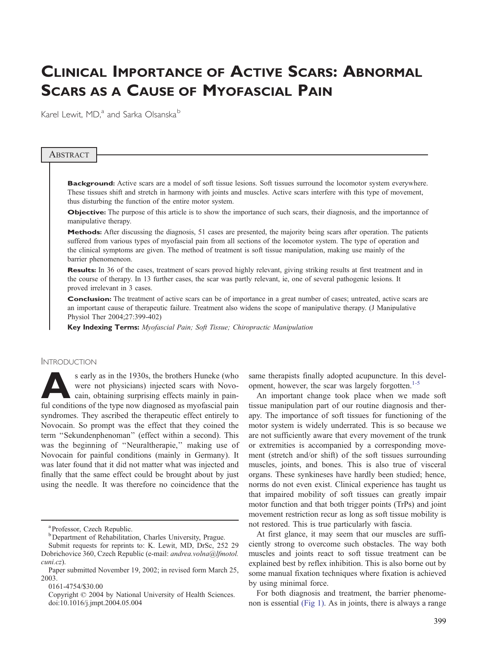# CLINICAL IMPORTANCE OF ACTIVE SCARS: ABNORMAL SCARS AS A CAUSE OF MYOFASCIAL PAIN

Karel Lewit, MD,<sup>a</sup> and Sarka Olsanska<sup>b</sup>

# ABSTRACT

Background: Active scars are a model of soft tissue lesions. Soft tissues surround the locomotor system everywhere. These tissues shift and stretch in harmony with joints and muscles. Active scars interfere with this type of movement, thus disturbing the function of the entire motor system.

Objective: The purpose of this article is to show the importance of such scars, their diagnosis, and the importannce of manipulative therapy.

Methods: After discussing the diagnosis, 51 cases are presented, the majority being scars after operation. The patients suffered from various types of myofascial pain from all sections of the locomotor system. The type of operation and the clinical symptoms are given. The method of treatment is soft tissue manipulation, making use mainly of the barrier phenomeneon.

Results: In 36 of the cases, treatment of scars proved highly relevant, giving striking results at first treatment and in the course of therapy. In 13 further cases, the scar was partly relevant, ie, one of several pathogenic lesions. It proved irrelevant in 3 cases.

**Conclusion:** The treatment of active scars can be of importance in a great number of cases; untreated, active scars are an important cause of therapeutic failure. Treatment also widens the scope of manipulative therapy. (J Manipulative Physiol Ther 2004;27:399-402)

Key Indexing Terms: Myofascial Pain; Soft Tissue; Chiropractic Manipulation

## INTRODUCTION

s early as in the 1930s, the brothers Huneke (who were not physicians) injected scars with Novo-<br>cain, obtaining surprising effects mainly in pain-<br>ful conditions of the type now diagnosed as myofascial pain were not physicians) injected scars with Novocain, obtaining surprising effects mainly in painful conditions of the type now diagnosed as myofascial pain syndromes. They ascribed the therapeutic effect entirely to Novocain. So prompt was the effect that they coined the term ''Sekundenphenoman'' (effect within a second). This was the beginning of ''Neuraltherapie,'' making use of Novocain for painful conditions (mainly in Germany). It was later found that it did not matter what was injected and finally that the same effect could be brought about by just using the needle. It was therefore no coincidence that the

same therapists finally adopted acupuncture. In this development, however, the scar was largely forgotten. $1-5$ 

An important change took place when we made soft tissue manipulation part of our routine diagnosis and therapy. The importance of soft tissues for functioning of the motor system is widely underrated. This is so because we are not sufficiently aware that every movement of the trunk or extremities is accompanied by a corresponding movement (stretch and/or shift) of the soft tissues surrounding muscles, joints, and bones. This is also true of visceral organs. These synkineses have hardly been studied; hence, norms do not even exist. Clinical experience has taught us that impaired mobility of soft tissues can greatly impair motor function and that both trigger points (TrPs) and joint movement restriction recur as long as soft tissue mobility is not restored. This is true particularly with fascia.

At first glance, it may seem that our muscles are sufficiently strong to overcome such obstacles. The way both muscles and joints react to soft tissue treatment can be explained best by reflex inhibition. This is also borne out by some manual fixation techniques where fixation is achieved by using minimal force.

For both diagnosis and treatment, the barrier phenomenon is essential [\(Fig 1\).](#page-1-0) As in joints, there is always a range

a Professor, Czech Republic.

<sup>&</sup>lt;sup>b</sup> Department of Rehabilitation, Charles University, Prague. Submit requests for reprints to: K. Lewit, MD, DrSc, 252 29 Dobrichovice 360, Czech Republic (e-mail: andrea.volna@lfmotol. cuni.cz).

Paper submitted November 19, 2002; in revised form March 25, 2003.

<sup>0161-4754/\$30.00</sup>

Copyright  $\odot$  2004 by National University of Health Sciences. doi:10.1016/j.jmpt.2004.05.004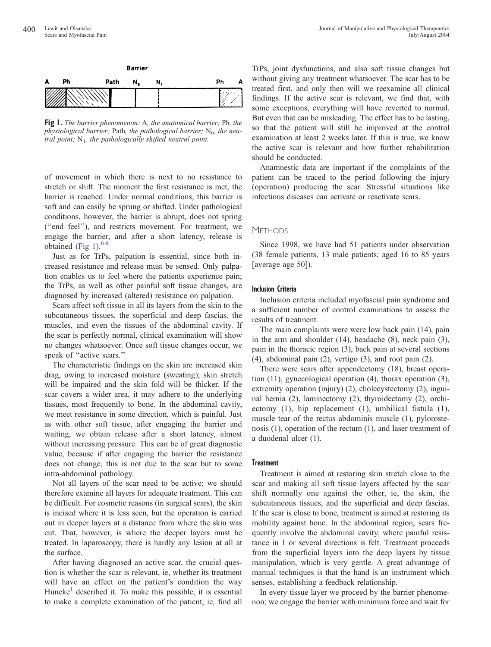<span id="page-1-0"></span>

Fig 1. The barrier phenomenon: A, the anatomical barrier; Ph, the physiological barrier; Path, the pathological barrier;  $N_0$ , the neutral point;  $N_1$ , the pathologically shifted neutral point.

of movement in which there is next to no resistance to stretch or shift. The moment the first resistance is met, the barrier is reached. Under normal conditions, this barrier is soft and can easily be sprung or shifted. Under pathological conditions, however, the barrier is abrupt, does not spring (''end feel''), and restricts movement. For treatment, we engage the barrier, and after a short latency, release is obtained (Fig 1). [6-8](#page-3-0)

Just as for TrPs, palpation is essential, since both increased resistance and release must be sensed. Only palpation enables us to feel where the patients experience pain; the TrPs, as well as other painful soft tissue changes, are diagnosed by increased (altered) resistance on palpation.

Scars affect soft tissue in all its layers from the skin to the subcutaneous tissues, the superficial and deep fascias, the muscles, and even the tissues of the abdominal cavity. If the scar is perfectly normal, clinical examination will show no changes whatsoever. Once soft tissue changes occur, we speak of "active scars."

The characteristic findings on the skin are increased skin drag, owing to increased moisture (sweating); skin stretch will be impaired and the skin fold will be thicker. If the scar covers a wider area, it may adhere to the underlying tissues, most frequently to bone. In the abdominal cavity, we meet resistance in some direction, which is painful. Just as with other soft tissue, after engaging the barrier and waiting, we obtain release after a short latency, almost without increasing pressure. This can be of great diagnostic value, because if after engaging the barrier the resistance does not change, this is not due to the scar but to some intra-abdominal pathology.

Not all layers of the scar need to be active; we should therefore examine all layers for adequate treatment. This can be difficult. For cosmetic reasons (in surgical scars), the skin is incised where it is less seen, but the operation is carried out in deeper layers at a distance from where the skin was cut. That, however, is where the deeper layers must be treated. In laparoscopy, there is hardly any lesion at all at the surface.

After having diagnosed an active scar, the crucial question is whether the scar is relevant, ie, whether its treatment will have an effect on the patient's condition the way Huneke<sup> $\perp$ </sup> described it. To make this possible, it is essential to make a complete examination of the patient, ie, find all TrPs, joint dysfunctions, and also soft tissue changes but without giving any treatment whatsoever. The scar has to be treated first, and only then will we reexamine all clinical findings. If the active scar is relevant, we find that, with some exceptions, everything will have reverted to normal. But even that can be misleading. The effect has to be lasting, so that the patient will still be improved at the control examination at least 2 weeks later. If this is true, we know the active scar is relevant and how further rehabilitation should be conducted.

Anamnestic data are important if the complaints of the patient can be traced to the period following the injury (operation) producing the scar. Stressful situations like infectious diseases can activate or reactivate scars.

#### **METHODS**

Since 1998, we have had 51 patients under observation (38 female patients, 13 male patients; aged 16 to 85 years [average age 50]).

#### Inclusion Criteria

Inclusion criteria included myofascial pain syndrome and a sufficient number of control examinations to assess the results of treatment.

The main complaints were were low back pain (14), pain in the arm and shoulder (14), headache (8), neck pain (3), pain in the thoracic region (3), back pain at several sections (4), abdominal pain (2), vertigo (3), and root pain (2).

There were scars after appendectomy (18), breast operation (11), gynecological operation (4), thorax operation (3), extremity operation (injury) (2), cholecystectomy (2), inguinal hernia (2), laminectomy (2), thyroidectomy (2), orchiectomy (1), hip replacement (1), umbilical fistula (1), muscle tear of the rectus abdominis muscle (1), pylorostenosis (1), operation of the rectum (1), and laser treatment of a duodenal ulcer (1).

#### **Treatment**

Treatment is aimed at restoring skin stretch close to the scar and making all soft tissue layers affected by the scar shift normally one against the other, ie, the skin, the subcutaneous tissues, and the superficial and deep fascias. If the scar is close to bone, treatment is aimed at restoring its mobility against bone. In the abdominal region, scars frequently involve the abdominal cavity, where painful resistance in 1 or several directions is felt. Treatment proceeds from the superficial layers into the deep layers by tissue manipulation, which is very gentle. A great advantage of manual techniques is that the hand is an instrument which senses, establishing a feedback relationship.

In every tissue layer we proceed by the barrier phenomenon; we engage the barrier with minimum force and wait for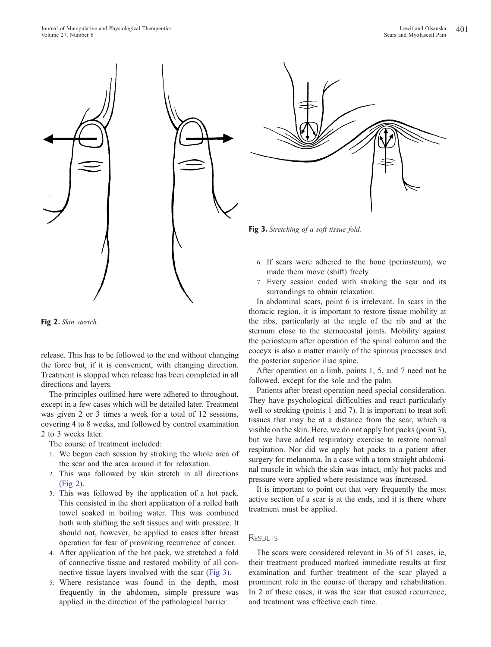

Fig 2. Skin stretch.

release. This has to be followed to the end without changing the force but, if it is convenient, with changing direction. Treatment is stopped when release has been completed in all directions and layers.

The principles outlined here were adhered to throughout, except in a few cases which will be detailed later. Treatment was given 2 or 3 times a week for a total of 12 sessions, covering 4 to 8 weeks, and followed by control examination 2 to 3 weeks later.

The course of treatment included:

- 1. We began each session by stroking the whole area of the scar and the area around it for relaxation.
- 2. This was followed by skin stretch in all directions (Fig 2).
- 3. This was followed by the application of a hot pack. This consisted in the short application of a rolled bath towel soaked in boiling water. This was combined both with shifting the soft tissues and with pressure. It should not, however, be applied to cases after breast operation for fear of provoking recurrence of cancer.
- 4. After application of the hot pack, we stretched a fold of connective tissue and restored mobility of all connective tissue layers involved with the scar (Fig 3).
- 5. Where resistance was found in the depth, most frequently in the abdomen, simple pressure was applied in the direction of the pathological barrier.

the ribs, particularly at the angle of the rib and at the sternum close to the sternocostal joints. Mobility against the periosteum after operation of the spinal column and the coccyx is also a matter mainly of the spinous processes and the posterior superior iliac spine. After operation on a limb, points 1, 5, and 7 need not be

thoracic region, it is important to restore tissue mobility at

followed, except for the sole and the palm.

Patients after breast operation need special consideration. They have psychological difficulties and react particularly well to stroking (points 1 and 7). It is important to treat soft tissues that may be at a distance from the scar, which is visible on the skin. Here, we do not apply hot packs (point 3), but we have added respiratory exercise to restore normal respiration. Nor did we apply hot packs to a patient after surgery for melanoma. In a case with a torn straight abdominal muscle in which the skin was intact, only hot packs and pressure were applied where resistance was increased.

It is important to point out that very frequently the most active section of a scar is at the ends, and it is there where treatment must be applied.

## **RESULTS**

The scars were considered relevant in 36 of 51 cases, ie, their treatment produced marked immediate results at first examination and further treatment of the scar played a prominent role in the course of therapy and rehabilitation. In 2 of these cases, it was the scar that caused recurrence, and treatment was effective each time.